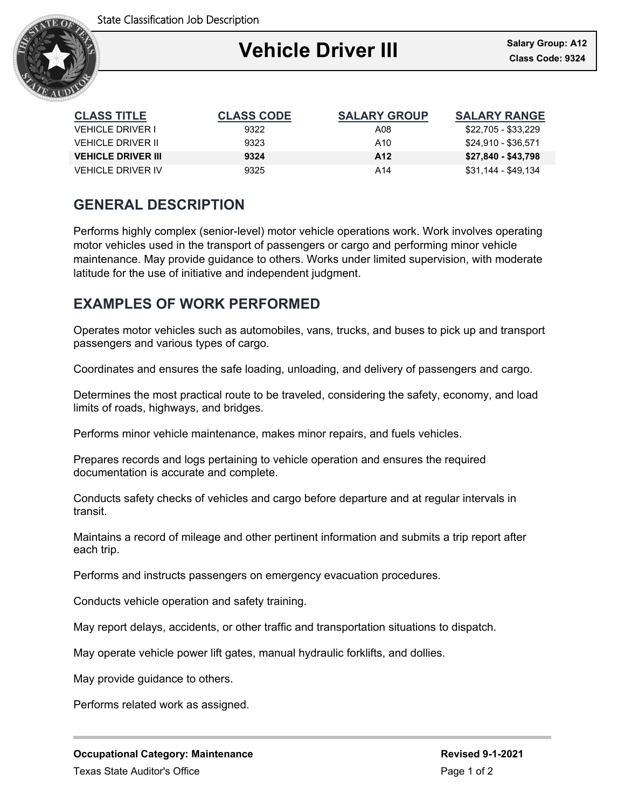State Classification Job Description



| <b>CLASS TITLE</b>        | <b>CLASS CODE</b> | <b>SALARY GROUP</b> | <b>SALARY RANGE</b> |
|---------------------------|-------------------|---------------------|---------------------|
| VEHICLE DRIVER I          | 9322              | A08                 | \$22,705 - \$33,229 |
| VEHICI E DRIVER II        | 9323              | A10                 | \$24.910 - \$36.571 |
| <b>VEHICLE DRIVER III</b> | 9324              | A <sub>12</sub>     | \$27,840 - \$43,798 |
| VEHICI E DRIVER IV        | 9325              | A14                 | \$31,144 - \$49,134 |

## **GENERAL DESCRIPTION**

Performs highly complex (senior-level) motor vehicle operations work. Work involves operating motor vehicles used in the transport of passengers or cargo and performing minor vehicle maintenance. May provide guidance to others. Works under limited supervision, with moderate latitude for the use of initiative and independent judgment.

# **EXAMPLES OF WORK PERFORMED**

Operates motor vehicles such as automobiles, vans, trucks, and buses to pick up and transport passengers and various types of cargo.

Coordinates and ensures the safe loading, unloading, and delivery of passengers and cargo.

Determines the most practical route to be traveled, considering the safety, economy, and load limits of roads, highways, and bridges.

Performs minor vehicle maintenance, makes minor repairs, and fuels vehicles.

Prepares records and logs pertaining to vehicle operation and ensures the required documentation is accurate and complete.

Conducts safety checks of vehicles and cargo before departure and at regular intervals in transit.

Maintains a record of mileage and other pertinent information and submits a trip report after each trip.

Performs and instructs passengers on emergency evacuation procedures.

Conducts vehicle operation and safety training.

May report delays, accidents, or other traffic and transportation situations to dispatch.

May operate vehicle power lift gates, manual hydraulic forklifts, and dollies.

May provide guidance to others.

Performs related work as assigned.